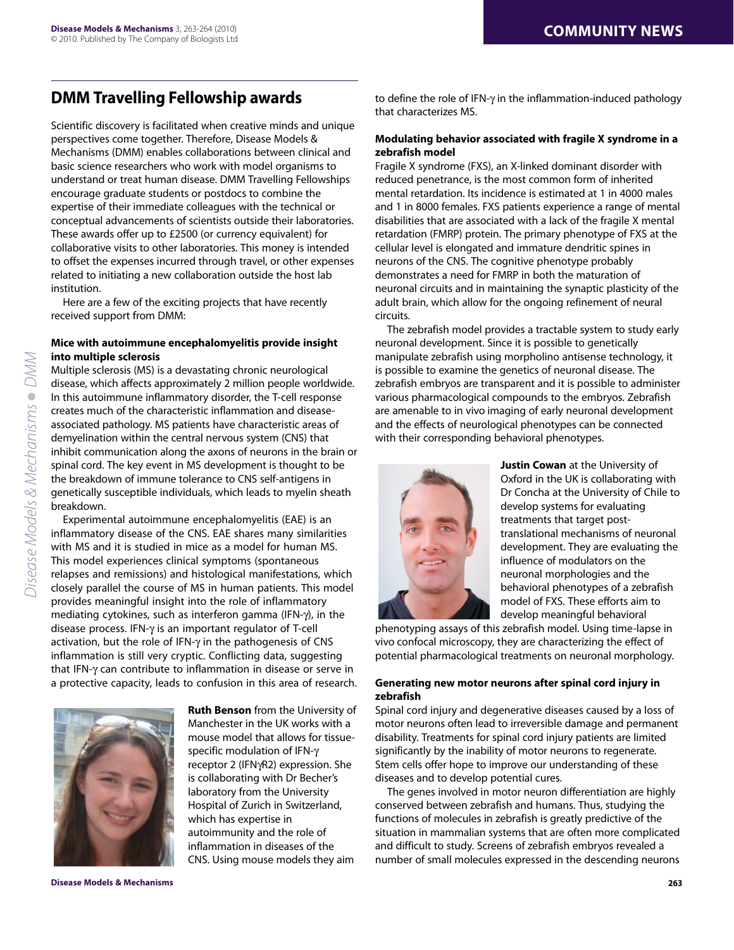# **DMM Travelling Fellowship awards**

Scientific discovery is facilitated when creative minds and unique perspectives come together. Therefore, Disease Models & Mechanisms (DMM) enables collaborations between clinical and basic science researchers who work with model organisms to understand or treat human disease. DMM Travelling Fellowships encourage graduate students or postdocs to combine the expertise of their immediate colleagues with the technical or conceptual advancements of scientists outside their laboratories. These awards offer up to £2500 (or currency equivalent) for collaborative visits to other laboratories. This money is intended to offset the expenses incurred through travel, or other expenses related to initiating a new collaboration outside the host lab institution.

Here are a few of the exciting projects that have recently received support from DMM:

## **Mice with autoimmune encephalomyelitis provide insight into multiple sclerosis**

Multiple sclerosis (MS) is a devastating chronic neurological disease, which affects approximately 2 million people worldwide. In this autoimmune inflammatory disorder, the T-cell response creates much of the characteristic inflammation and diseaseassociated pathology. MS patients have characteristic areas of demyelination within the central nervous system (CNS) that inhibit communication along the axons of neurons in the brain or spinal cord. The key event in MS development is thought to be the breakdown of immune tolerance to CNS self-antigens in genetically susceptible individuals, which leads to myelin sheath breakdown.

Experimental autoimmune encephalomyelitis (EAE) is an inflammatory disease of the CNS. EAE shares many similarities with MS and it is studied in mice as a model for human MS. This model experiences clinical symptoms (spontaneous relapses and remissions) and histological manifestations, which closely parallel the course of MS in human patients. This model provides meaningful insight into the role of inflammatory mediating cytokines, such as interferon gamma (IFN- $\gamma$ ), in the disease process. IFN- $\gamma$  is an important regulator of T-cell activation, but the role of IFN- $\gamma$  in the pathogenesis of CNS inflammation is still very cryptic. Conflicting data, suggesting that IFN- $\gamma$  can contribute to inflammation in disease or serve in a protective capacity, leads to confusion in this area of research.



**Ruth Benson** from the University of Manchester in the UK works with a mouse model that allows for tissuespecific modulation of IFN receptor 2 (IFNyR2) expression. She is collaborating with Dr Becher's laboratory from the University Hospital of Zurich in Switzerland, which has expertise in autoimmunity and the role of inflammation in diseases of the CNS. Using mouse models they aim

to define the role of IFN- $\gamma$  in the inflammation-induced pathology that characterizes MS.

## **Modulating behavior associated with fragile X syndrome in a zebrafish model**

Fragile X syndrome (FXS), an X-linked dominant disorder with reduced penetrance, is the most common form of inherited mental retardation. Its incidence is estimated at 1 in 4000 males and 1 in 8000 females. FXS patients experience a range of mental disabilities that are associated with a lack of the fragile X mental retardation (FMRP) protein. The primary phenotype of FXS at the cellular level is elongated and immature dendritic spines in neurons of the CNS. The cognitive phenotype probably demonstrates a need for FMRP in both the maturation of neuronal circuits and in maintaining the synaptic plasticity of the adult brain, which allow for the ongoing refinement of neural circuits.

The zebrafish model provides a tractable system to study early neuronal development. Since it is possible to genetically manipulate zebrafish using morpholino antisense technology, it is possible to examine the genetics of neuronal disease. The zebrafish embryos are transparent and it is possible to administer various pharmacological compounds to the embryos. Zebrafish are amenable to in vivo imaging of early neuronal development and the effects of neurological phenotypes can be connected with their corresponding behavioral phenotypes.



**Justin Cowan** at the University of Oxford in the UK is collaborating with Dr Concha at the University of Chile to develop systems for evaluating treatments that target posttranslational mechanisms of neuronal development. They are evaluating the influence of modulators on the neuronal morphologies and the behavioral phenotypes of a zebrafish model of FXS. These efforts aim to develop meaningful behavioral

phenotyping assays of this zebrafish model. Using time-lapse in vivo confocal microscopy, they are characterizing the effect of potential pharmacological treatments on neuronal morphology.

## **Generating new motor neurons after spinal cord injury in zebrafish**

Spinal cord injury and degenerative diseases caused by a loss of motor neurons often lead to irreversible damage and permanent disability. Treatments for spinal cord injury patients are limited significantly by the inability of motor neurons to regenerate. Stem cells offer hope to improve our understanding of these diseases and to develop potential cures.

The genes involved in motor neuron differentiation are highly conserved between zebrafish and humans. Thus, studying the functions of molecules in zebrafish is greatly predictive of the situation in mammalian systems that are often more complicated and difficult to study. Screens of zebrafish embryos revealed a number of small molecules expressed in the descending neurons

**Disease Models & Mechanisms 263**